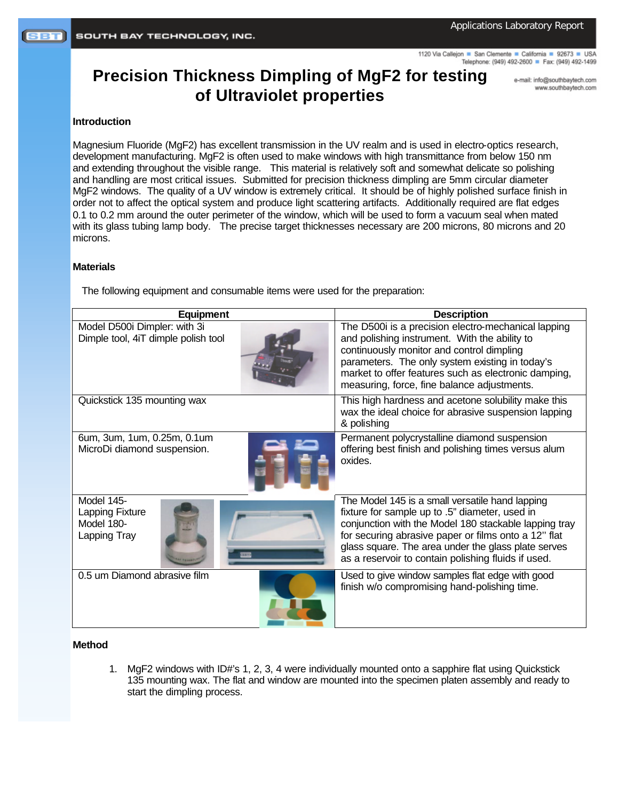1120 Via Callejon San Clemente California 92673 USA Telephone: (949) 492-2600 Fax: (949) 492-1499

# **Precision Thickness Dimpling of MgF2 for testing of Ultraviolet properties**

e-mail: info@southbaytech.com www.southbaytech.com

#### **Introduction**

Magnesium Fluoride (MgF2) has excellent transmission in the UV realm and is used in electro-optics research, development manufacturing. MgF2 is often used to make windows with high transmittance from below 150 nm and extending throughout the visible range. This material is relatively soft and somewhat delicate so polishing and handling are most critical issues. Submitted for precision thickness dimpling are 5mm circular diameter MgF2 windows. The quality of a UV window is extremely critical. It should be of highly polished surface finish in order not to affect the optical system and produce light scattering artifacts. Additionally required are flat edges 0.1 to 0.2 mm around the outer perimeter of the window, which will be used to form a vacuum seal when mated with its glass tubing lamp body. The precise target thicknesses necessary are 200 microns, 80 microns and 20 microns.

### **Materials**

The following equipment and consumable items were used for the preparation:

| <b>Equipment</b>                                                    | <b>Description</b>                                                                                                                                                                                                                                                                                                               |  |
|---------------------------------------------------------------------|----------------------------------------------------------------------------------------------------------------------------------------------------------------------------------------------------------------------------------------------------------------------------------------------------------------------------------|--|
| Model D500i Dimpler: with 3i<br>Dimple tool, 4iT dimple polish tool | The D500i is a precision electro-mechanical lapping<br>and polishing instrument. With the ability to<br>continuously monitor and control dimpling<br>parameters. The only system existing in today's<br>market to offer features such as electronic damping,<br>measuring, force, fine balance adjustments.                      |  |
| Quickstick 135 mounting wax                                         | This high hardness and acetone solubility make this<br>wax the ideal choice for abrasive suspension lapping<br>& polishing                                                                                                                                                                                                       |  |
| 6um, 3um, 1um, 0.25m, 0.1um<br>MicroDi diamond suspension.          | Permanent polycrystalline diamond suspension<br>offering best finish and polishing times versus alum<br>oxides.                                                                                                                                                                                                                  |  |
| Model 145-<br>Lapping Fixture<br>Model 180-<br>Lapping Tray         | The Model 145 is a small versatile hand lapping<br>fixture for sample up to .5" diameter, used in<br>conjunction with the Model 180 stackable lapping tray<br>for securing abrasive paper or films onto a 12" flat<br>glass square. The area under the glass plate serves<br>as a reservoir to contain polishing fluids if used. |  |
| 0.5 um Diamond abrasive film                                        | Used to give window samples flat edge with good<br>finish w/o compromising hand-polishing time.                                                                                                                                                                                                                                  |  |

## **Method**

1. MgF2 windows with ID#'s 1, 2, 3, 4 were individually mounted onto a sapphire flat using Quickstick 135 mounting wax. The flat and window are mounted into the specimen platen assembly and ready to start the dimpling process.